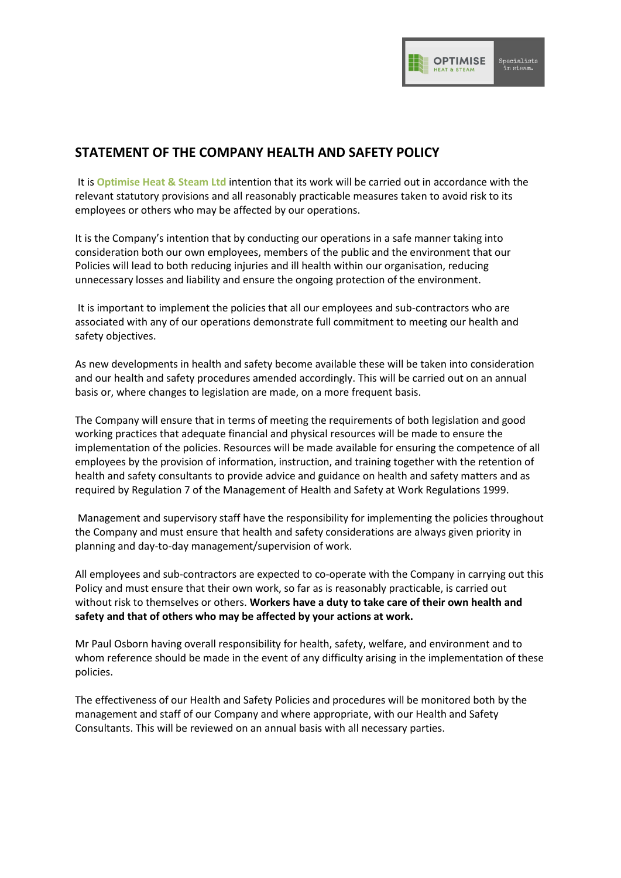

## **STATEMENT OF THE COMPANY HEALTH AND SAFETY POLICY**

It is **Optimise Heat & Steam Ltd** intention that its work will be carried out in accordance with the relevant statutory provisions and all reasonably practicable measures taken to avoid risk to its employees or others who may be affected by our operations.

It is the Company's intention that by conducting our operations in a safe manner taking into consideration both our own employees, members of the public and the environment that our Policies will lead to both reducing injuries and ill health within our organisation, reducing unnecessary losses and liability and ensure the ongoing protection of the environment.

It is important to implement the policies that all our employees and sub-contractors who are associated with any of our operations demonstrate full commitment to meeting our health and safety objectives.

As new developments in health and safety become available these will be taken into consideration and our health and safety procedures amended accordingly. This will be carried out on an annual basis or, where changes to legislation are made, on a more frequent basis.

The Company will ensure that in terms of meeting the requirements of both legislation and good working practices that adequate financial and physical resources will be made to ensure the implementation of the policies. Resources will be made available for ensuring the competence of all employees by the provision of information, instruction, and training together with the retention of health and safety consultants to provide advice and guidance on health and safety matters and as required by Regulation 7 of the Management of Health and Safety at Work Regulations 1999.

Management and supervisory staff have the responsibility for implementing the policies throughout the Company and must ensure that health and safety considerations are always given priority in planning and day-to-day management/supervision of work.

All employees and sub-contractors are expected to co-operate with the Company in carrying out this Policy and must ensure that their own work, so far as is reasonably practicable, is carried out without risk to themselves or others. **Workers have a duty to take care of their own health and safety and that of others who may be affected by your actions at work.**

Mr Paul Osborn having overall responsibility for health, safety, welfare, and environment and to whom reference should be made in the event of any difficulty arising in the implementation of these policies.

The effectiveness of our Health and Safety Policies and procedures will be monitored both by the management and staff of our Company and where appropriate, with our Health and Safety Consultants. This will be reviewed on an annual basis with all necessary parties.